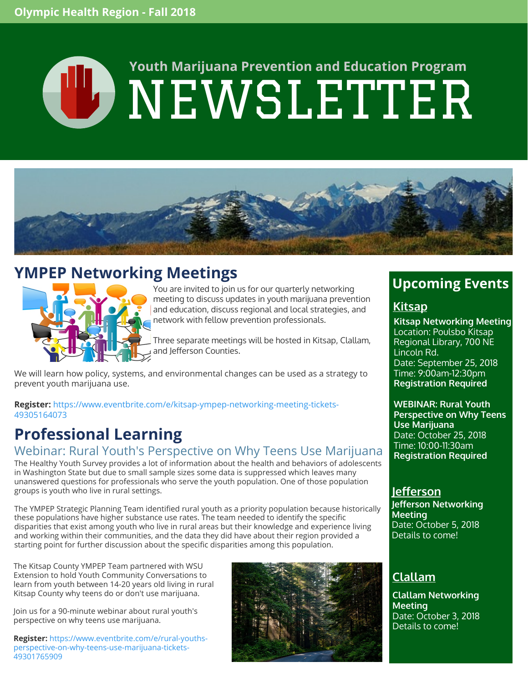# NEWSLETTER **Youth Marijuana Prevention and Education Program**



# **YMPEP Networking Meetings**



You are invited to join us for our quarterly networking meeting to discuss updates in youth marijuana prevention and education, discuss regional and local strategies, and network with fellow prevention professionals.

Three separate meetings will be hosted in Kitsap, Clallam, and Jefferson Counties.

We will learn how policy, systems, and environmental changes can be used as a strategy to prevent youth marijuana use.

**Register:** https://www.eventbrite.com/e/kitsap-ympep-networking-meeting-tickets-49305164073

# **Professional Learning**

### Webinar: Rural Youth's Perspective on Why Teens Use Marijuana

The Healthy Youth Survey provides a lot of information about the health and behaviors of adolescents in Washington State but due to small sample sizes some data is suppressed which leaves many unanswered questions for professionals who serve the youth population. One of those population groups is youth who live in rural settings.

The YMPEP Strategic Planning Team identified rural youth as a priority population because historically these populations have higher substance use rates. The team needed to identify the specific disparities that exist among youth who live in rural areas but their knowledge and experience living and working within their communities, and the data they did have about their region provided a starting point for further discussion about the specific disparities among this population.

The Kitsap County YMPEP Team partnered with WSU Extension to hold Youth Community Conversations to learn from youth between 14-20 years old living in rural Kitsap County why teens do or don't use marijuana.

Join us for a 90-minute webinar about rural youth's perspective on why teens use marijuana.

**Register:** https://www.eventbrite.com/e/rural-youths[perspective-on-why-teens-use-marijuana-tickets-](https://www.eventbrite.com/e/rural-youths-perspective-on-why-teens-use-marijuana-tickets-49301765909)49301765909



# **Upcoming Events**

### **Kitsap**

April 19, 2018 • 10:00-12:30pm Date: September 25, 2018 Port Angeles Library<br>Port Angeles Library 22 **Peapot attention Kitsap Networking Meeting** Location: Poulsbo Kitsap Regional Library, 700 NE Lincoln Rd. Time: 9:00am-12:30pm **Registration Required**

**WEBINAR: Rural Youth Registration Required Use Marijuana Perspective on Why Teens** Date: October 25, 2018 Time: 10:00-11:30am **Registration Required**

### **Jefferson**

**Jefferson Networking Meeting** Date: October 5, 2018 Details to come!

### **Clallam**

**Clallam Networking Meeting** Date: October 3, 2018 Details to come!